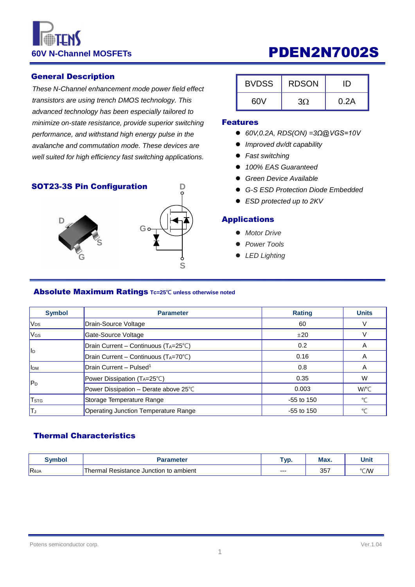# **60V N-Channel MOSFETs CONVINGERY PDEN2N7002S**

#### General Description

*These N-Channel enhancement mode power field effect transistors are using trench DMOS technology. This advanced technology has been especially tailored to minimize on-state resistance, provide superior switching performance, and withstand high energy pulse in the avalanche and commutation mode. These devices are well suited for high efficiency fast switching applications.*

#### SOT23-3S Pin Configuration



| <b>BVDSS</b> | <b>RDSON</b> |      |
|--------------|--------------|------|
| 60V          | ЗO           | 0.2A |

#### Features

- *60V,0.2A, RDS(ON) =3Ω@VGS=10V*
- *Improved dv/dt capability*
- *Fast switching*
- *100% EAS Guaranteed*
- *Green Device Available*
- *G-S ESD Protection Diode Embedded*
- *ESD protected up to 2KV*

#### Applications

- *Motor Drive*
- *Power Tools*
- *LED Lighting*

#### Absolute Maximum Ratings **Tc=25℃ unless otherwise noted**

| <b>Symbol</b>            | <b>Parameter</b>                                 | <b>Rating</b> | <b>Units</b> |
|--------------------------|--------------------------------------------------|---------------|--------------|
| V <sub>DS</sub>          | Drain-Source Voltage                             | 60            |              |
| <b>V<sub>GS</sub></b>    | Gate-Source Voltage                              | ±20           |              |
|                          | $ Drain Current - Continuous (T_A=25^{\circ}C) $ | 0.2           | A            |
| llр                      | Drain Current - Continuous (TA=70°C)             | 0.16          | A            |
| <b>I</b> I <sub>DM</sub> | Drain Current - Pulsed <sup>1</sup>              | 0.8           | A            |
| $ P_D $                  | Power Dissipation (TA=25°C)                      | 0.35          | W            |
|                          | Power Dissipation - Derate above 25°C            | 0.003         | W/°C         |
| <b>T</b> <sub>STG</sub>  | Storage Temperature Range                        | $-55$ to 150  | $^{\circ}$ C |
| IΤյ                      | Operating Junction Temperature Range             | $-55$ to 150  | °C           |

**D**

### Thermal Characteristics

| Svmbol | <b>Parameter</b>                                  |      | Max. | Unit |
|--------|---------------------------------------------------|------|------|------|
| Reja   | Resistance Junction to ambient<br><b>I</b> hermal | $--$ | 357  | °C/W |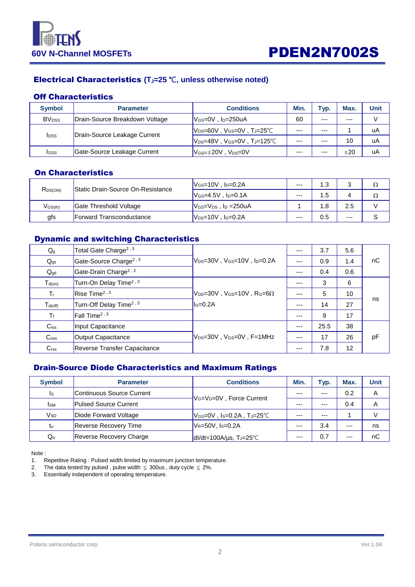

## Electrical Characteristics **(TJ=25** ℃**, unless otherwise noted)**

#### Off Characteristics

| <b>Symbol</b>            | <b>Parameter</b>               | <b>Conditions</b>                                                | Min.    | Typ.    | Max.  | Unit |
|--------------------------|--------------------------------|------------------------------------------------------------------|---------|---------|-------|------|
| <b>BV</b> <sub>pss</sub> | Drain-Source Breakdown Voltage | 60<br>$V$ <sub>GS</sub> =0V, $I_D$ =250uA                        |         | $- - -$ | $---$ |      |
|                          |                                | $\mathsf{V}_{\textsf{DS}}$ =60V, V $_{\textsf{GS}}$ =0V, TJ=25°C | ---     | $- - -$ |       | uA   |
| <b>I</b> <sub>DSS</sub>  | Drain-Source Leakage Current   | $V_{DS}=48V$ , $V_{GS}=0V$ , $T_J=125^{\circ}C$                  | $- - -$ | $- - -$ | 10    | uA   |
| Igss                     | Gate-Source Leakage Current    | $V$ <sub>GS=<math>\pm</math>20V, V<sub>DS</sub>=0V</sub>         | $- - -$ | $- - -$ | ±20   | uA   |

### On Characteristics

| R <sub>DS(ON)</sub> | <b>Static Drain-Source On-Resistance</b> | $V_{GS}=10V$ , $I_D=0.2A$                   | $---$ | 1.3 |       |  |
|---------------------|------------------------------------------|---------------------------------------------|-------|-----|-------|--|
|                     |                                          | $V$ <sub>GS</sub> =4.5V . $ID=0.1A$         | $---$ | .5  |       |  |
| $V$ GS $(th)$       | Gate Threshold Voltage                   | $V$ <sub>GS</sub> = $V_{DS}$ , $I_D$ =250uA |       | 1.8 | 2.5   |  |
| gfs                 | <b>IForward Transconductance</b>         | $V_{DS}=10V$ , $I_D=0.2A$                   | $---$ | 0.5 | $---$ |  |

### Dynamic and switching Characteristics

| $Q_{g}$            | Total Gate Charge <sup>2, 3</sup>   |                                                            | $---$ | 3.7  | 5.6 |    |
|--------------------|-------------------------------------|------------------------------------------------------------|-------|------|-----|----|
| $Q_{gs}$           | Gate-Source Charge <sup>2, 3</sup>  | $ V_{DS}=30V$ , $V_{GS}=10V$ , $I_{D}=0.2A$                |       | 0.9  | 1.4 | nC |
| $Q_{gd}$           | Gate-Drain Charge <sup>2, 3</sup>   |                                                            | $---$ | 0.4  | 0.6 |    |
| $T_{d(on)}$        | Turn-On Delay Time <sup>2, 3</sup>  |                                                            |       | 3    | 6   |    |
| $T_{\rm f}$        | Rise Time <sup>2, 3</sup>           | $ V_{\text{DD}}=30V$ , $V_{\text{GS}}=10V$ , Rg=6 $\Omega$ |       | 5    | 10  |    |
| $T_{d(off)}$       | Turn-Off Delay Time <sup>2, 3</sup> | $ID=0.2A$                                                  | $---$ | 14   | 27  | ns |
| $T_f$              | Fall Time <sup>2, 3</sup>           |                                                            | $---$ | 9    | 17  |    |
| $C$ <sub>iss</sub> | Input Capacitance                   |                                                            | $---$ | 25.5 | 38  |    |
| C <sub>oss</sub>   | Output Capacitance                  | $V_{DS}=30V$ . $V_{GS}=0V$ . F=1MHz                        | ---   | 17   | 26  | pF |
| C <sub>rss</sub>   | Reverse Transfer Capacitance        |                                                            | $---$ | 7.8  | 12  |    |

#### Drain-Source Diode Characteristics and Maximum Ratings

| <b>Symbol</b>   | <b>Parameter</b>               | <b>Conditions</b>                                 | Min.    | Typ.    | Max.  | Unit |
|-----------------|--------------------------------|---------------------------------------------------|---------|---------|-------|------|
| Is              | Continuous Source Current      | V <sub>G</sub> =V <sub>D</sub> =0V, Force Current | $- - -$ | ---     | 0.2   | Α    |
| <b>I</b> sm     | <b>Pulsed Source Current</b>   |                                                   | ---     | ---     | 0.4   | Α    |
| V <sub>SD</sub> | Diode Forward Voltage          | $V$ Gs=0V , Is=0.2A , T」=25°C                     | $- - -$ | $- - -$ |       | V    |
| $t_{rr}$        | <b>Reverse Recovery Time</b>   | $V_{R=50V, Is=0.2A}$                              | $- - -$ | 3.4     | $---$ | ns   |
| $Q_{rr}$        | <b>Reverse Recovery Charge</b> | $dI/dt = 100A/\mu s$ , T <sub>J</sub> =25°C       | $---$   | 0.7     | $---$ | nC   |

Note :

1. Repetitive Rating : Pulsed width limited by maximum junction temperature.

2. The data tested by pulsed, pulse width  $\leq$  300us, duty cycle  $\leq$  2%.

3. Essentially independent of operating temperature.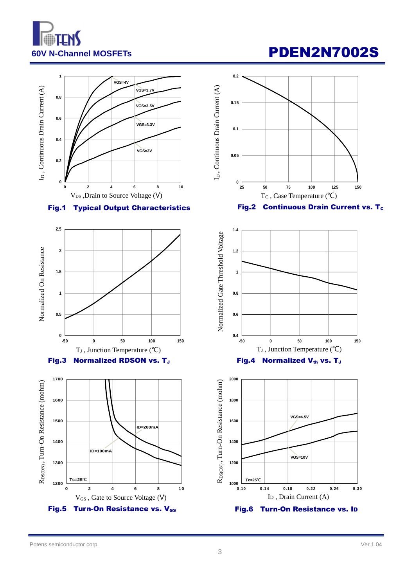

# **60V N-Channel MOSFETs CONCLUSION CONTRACTLY PDEN2N7002S**



### Fig.1 Typical Output Characteristics



### Fig.3 Normalized RDSON vs. TJ





### Fig.2 Continuous Drain Current vs. T<sub>c</sub>



Fig.4 Normalized  $V_{th}$  vs. T<sub>J</sub>

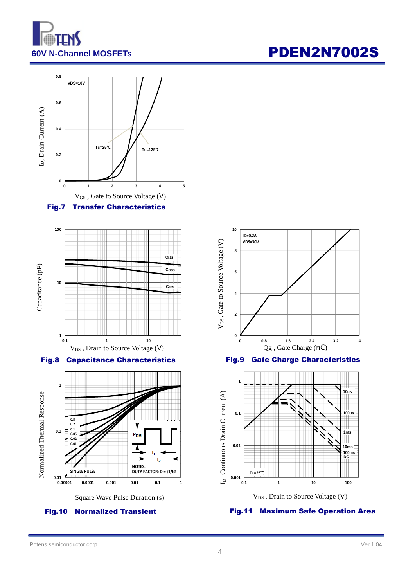

# **60V N-Channel MOSFETs CONSIDER PDEN2N7002S**







Fig.8 Capacitance Characteristics





4



Fig.9 Gate Charge Characteristics



Fig.11 Maximum Safe Operation Area